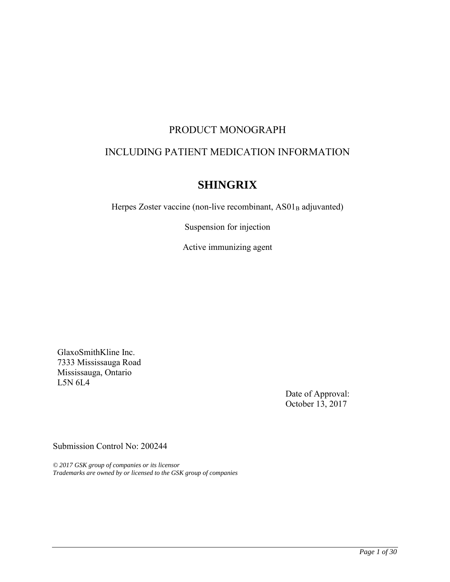# PRODUCT MONOGRAPH

# INCLUDING PATIENT MEDICATION INFORMATION

# **SHINGRIX**

Herpes Zoster vaccine (non-live recombinant, AS01<sub>B</sub> adjuvanted)

Suspension for injection

Active immunizing agent

GlaxoSmithKline Inc. 7333 Mississauga Road Mississauga, Ontario L5N 6L4

> Date of Approval: October 13, 2017

Submission Control No: 200244

*© 2017 GSK group of companies or its licensor Trademarks are owned by or licensed to the GSK group of companies*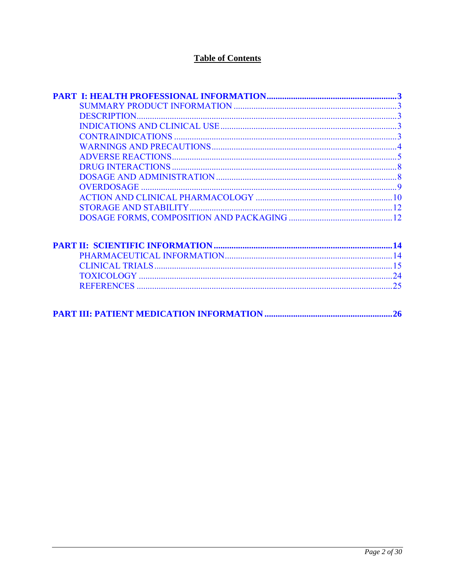# **Table of Contents**

|--|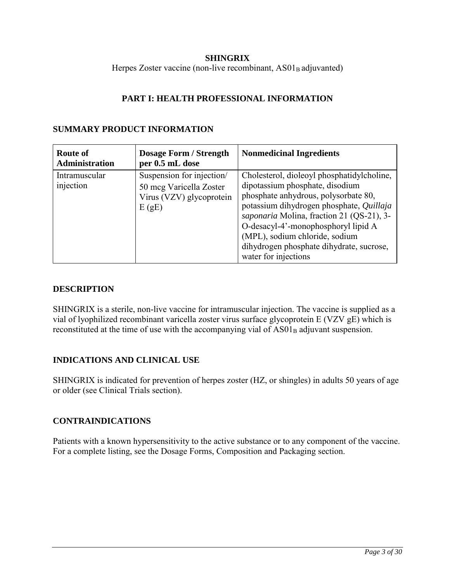### **SHINGRIX**

<span id="page-2-0"></span>Herpes Zoster vaccine (non-live recombinant, AS01<sub>B</sub> adjuvanted)

### **PART I: HEALTH PROFESSIONAL INFORMATION**

### **SUMMARY PRODUCT INFORMATION**

| <b>Route of</b><br><b>Administration</b> | <b>Dosage Form / Strength</b><br>per 0.5 mL dose                                          | <b>Nonmedicinal Ingredients</b>                                                                                                                                                                                                                                                                                                                             |
|------------------------------------------|-------------------------------------------------------------------------------------------|-------------------------------------------------------------------------------------------------------------------------------------------------------------------------------------------------------------------------------------------------------------------------------------------------------------------------------------------------------------|
| Intramuscular<br>injection               | Suspension for injection/<br>50 mcg Varicella Zoster<br>Virus (VZV) glycoprotein<br>E(gE) | Cholesterol, dioleoyl phosphatidylcholine,<br>dipotassium phosphate, disodium<br>phosphate anhydrous, polysorbate 80,<br>potassium dihydrogen phosphate, Quillaja<br>saponaria Molina, fraction 21 (QS-21), 3-<br>O-desacyl-4'-monophosphoryl lipid A<br>(MPL), sodium chloride, sodium<br>dihydrogen phosphate dihydrate, sucrose,<br>water for injections |

### **DESCRIPTION**

SHINGRIX is a sterile, non-live vaccine for intramuscular injection. The vaccine is supplied as a vial of lyophilized recombinant varicella zoster virus surface glycoprotein E (VZV gE) which is reconstituted at the time of use with the accompanying vial of  $AS01<sub>B</sub>$  adjuvant suspension.

### **INDICATIONS AND CLINICAL USE**

SHINGRIX is indicated for prevention of herpes zoster (HZ, or shingles) in adults 50 years of age or older (see Clinical Trials section).

### **CONTRAINDICATIONS**

Patients with a known hypersensitivity to the active substance or to any component of the vaccine. For a complete listing, see the Dosage Forms, Composition and Packaging section.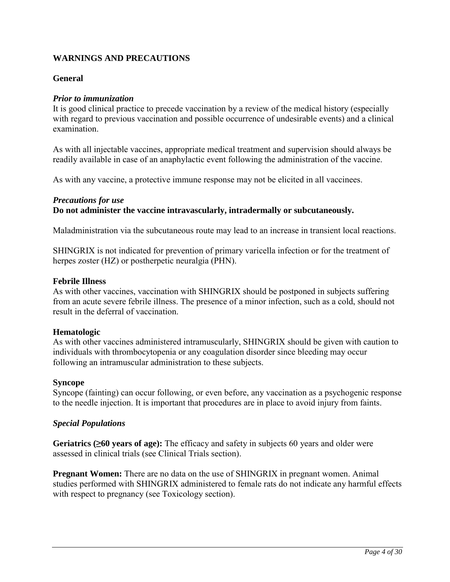### <span id="page-3-0"></span>**WARNINGS AND PRECAUTIONS**

### **General**

### *Prior to immunization*

It is good clinical practice to precede vaccination by a review of the medical history (especially with regard to previous vaccination and possible occurrence of undesirable events) and a clinical examination.

As with all injectable vaccines, appropriate medical treatment and supervision should always be readily available in case of an anaphylactic event following the administration of the vaccine.

As with any vaccine, a protective immune response may not be elicited in all vaccinees.

### *Precautions for use*

**Do not administer the vaccine intravascularly, intradermally or subcutaneously.** 

Maladministration via the subcutaneous route may lead to an increase in transient local reactions.

SHINGRIX is not indicated for prevention of primary varicella infection or for the treatment of herpes zoster (HZ) or postherpetic neuralgia (PHN).

### **Febrile Illness**

As with other vaccines, vaccination with SHINGRIX should be postponed in subjects suffering from an acute severe febrile illness. The presence of a minor infection, such as a cold, should not result in the deferral of vaccination.

### **Hematologic**

As with other vaccines administered intramuscularly, SHINGRIX should be given with caution to individuals with thrombocytopenia or any coagulation disorder since bleeding may occur following an intramuscular administration to these subjects.

### **Syncope**

Syncope (fainting) can occur following, or even before, any vaccination as a psychogenic response to the needle injection. It is important that procedures are in place to avoid injury from faints.

### *Special Populations*

**Geriatrics (≥60 years of age):** The efficacy and safety in subjects 60 years and older were assessed in clinical trials (see Clinical Trials section).

**Pregnant Women:** There are no data on the use of SHINGRIX in pregnant women. Animal studies performed with SHINGRIX administered to female rats do not indicate any harmful effects with respect to pregnancy (see Toxicology section).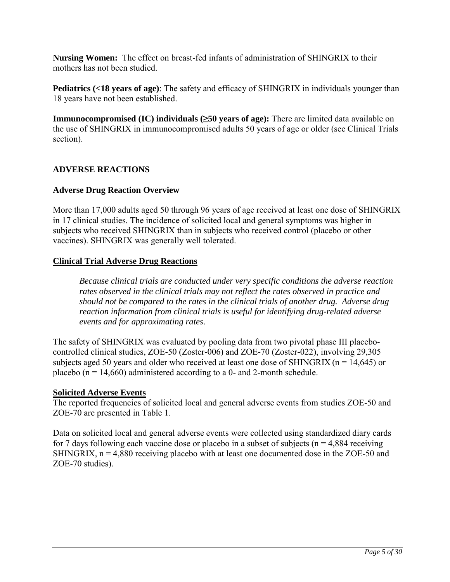<span id="page-4-0"></span>**Nursing Women:** The effect on breast-fed infants of administration of SHINGRIX to their mothers has not been studied.

**Pediatrics (<18 years of age)**: The safety and efficacy of SHINGRIX in individuals younger than 18 years have not been established.

**Immunocompromised (IC) individuals (≥50 years of age):** There are limited data available on the use of SHINGRIX in immunocompromised adults 50 years of age or older (see Clinical Trials section).

### **ADVERSE REACTIONS**

### **Adverse Drug Reaction Overview**

More than 17,000 adults aged 50 through 96 years of age received at least one dose of SHINGRIX in 17 clinical studies. The incidence of solicited local and general symptoms was higher in subjects who received SHINGRIX than in subjects who received control (placebo or other vaccines). SHINGRIX was generally well tolerated.

### **Clinical Trial Adverse Drug Reactions**

*Because clinical trials are conducted under very specific conditions the adverse reaction rates observed in the clinical trials may not reflect the rates observed in practice and should not be compared to the rates in the clinical trials of another drug. Adverse drug reaction information from clinical trials is useful for identifying drug-related adverse events and for approximating rates*.

The safety of SHINGRIX was evaluated by pooling data from two pivotal phase III placebocontrolled clinical studies, ZOE-50 (Zoster-006) and ZOE-70 (Zoster-022), involving 29,305 subjects aged 50 years and older who received at least one dose of SHINGRIX ( $n = 14,645$ ) or placebo ( $n = 14,660$ ) administered according to a 0- and 2-month schedule.

### **Solicited Adverse Events**

The reported frequencies of solicited local and general adverse events from studies ZOE-50 and ZOE-70 are presented in [Table 1.](#page-5-0)

Data on solicited local and general adverse events were collected using standardized diary cards for 7 days following each vaccine dose or placebo in a subset of subjects ( $n = 4,884$  receiving SHINGRIX,  $n = 4,880$  receiving placebo with at least one documented dose in the ZOE-50 and ZOE-70 studies).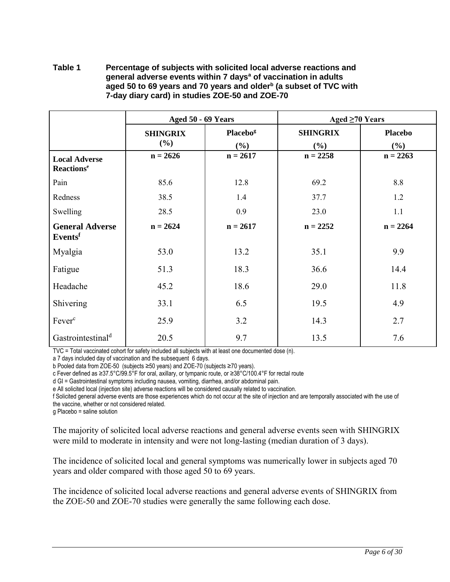#### <span id="page-5-0"></span>**Table 1 Percentage of subjects with solicited local adverse reactions and general adverse events within 7 days<sup>a</sup> of vaccination in adults aged 50 to 69 years and 70 years and older<sup>b</sup> (a subset of TVC with 7-day diary card) in studies ZOE-50 and ZOE-70**

|                                                       | Aged 50 - 69 Years        |                             | Aged $\geq 70$ Years      |                       |  |
|-------------------------------------------------------|---------------------------|-----------------------------|---------------------------|-----------------------|--|
|                                                       | <b>SHINGRIX</b><br>$(\%)$ | Placebo <sup>g</sup><br>(%) | <b>SHINGRIX</b><br>$(\%)$ | <b>Placebo</b><br>(%) |  |
| <b>Local Adverse</b><br><b>Reactions</b> <sup>e</sup> | $n = 2626$                | $n = 2617$                  | $n = 2258$                | $n = 2263$            |  |
| Pain                                                  | 85.6                      | 12.8                        | 69.2                      | 8.8                   |  |
| Redness                                               | 38.5                      | 1.4                         | 37.7                      | 1.2                   |  |
| Swelling                                              | 28.5                      | 0.9                         | 23.0                      | 1.1                   |  |
| <b>General Adverse</b><br>Eventsf                     | $n = 2624$                | $n = 2617$                  | $n = 2252$                | $n = 2264$            |  |
| Myalgia                                               | 53.0                      | 13.2                        | 35.1                      | 9.9                   |  |
| Fatigue                                               | 51.3                      | 18.3                        | 36.6                      | 14.4                  |  |
| Headache                                              | 45.2                      | 18.6                        | 29.0                      | 11.8                  |  |
| Shivering                                             | 33.1                      | 6.5                         | 19.5                      | 4.9                   |  |
| Fever <sup>c</sup>                                    | 25.9                      | 3.2                         | 14.3                      | 2.7                   |  |
| Gastrointestinal <sup>d</sup>                         | 20.5                      | 9.7                         | 13.5                      | 7.6                   |  |

TVC = Total vaccinated cohort for safety included all subjects with at least one documented dose (n).

a 7 days included day of vaccination and the subsequent 6 days.

b Pooled data from ZOE-50 (subjects ≥50 years) and ZOE-70 (subjects ≥70 years).

c Fever defined as ≥37.5°C/99.5°F for oral, axillary, or tympanic route, or ≥38°C/100.4°F for rectal route

d GI = Gastrointestinal symptoms including nausea, vomiting, diarrhea, and/or abdominal pain.

e All solicited local (injection site) adverse reactions will be considered causally related to vaccination.

f Solicited general adverse events are those experiences which do not occur at the site of injection and are temporally associated with the use of the vaccine, whether or not considered related.

g Placebo = saline solution

The majority of solicited local adverse reactions and general adverse events seen with SHINGRIX were mild to moderate in intensity and were not long-lasting (median duration of 3 days).

The incidence of solicited local and general symptoms was numerically lower in subjects aged 70 years and older compared with those aged 50 to 69 years.

The incidence of solicited local adverse reactions and general adverse events of SHINGRIX from the ZOE-50 and ZOE-70 studies were generally the same following each dose.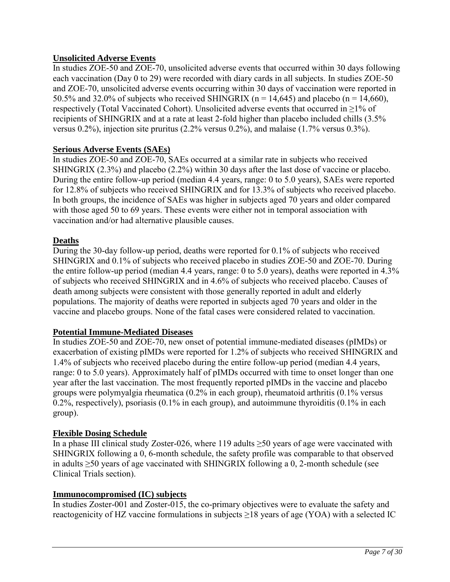### **Unsolicited Adverse Events**

In studies ZOE-50 and ZOE-70, unsolicited adverse events that occurred within 30 days following each vaccination (Day 0 to 29) were recorded with diary cards in all subjects. In studies ZOE-50 and ZOE-70, unsolicited adverse events occurring within 30 days of vaccination were reported in 50.5% and 32.0% of subjects who received SHINGRIX ( $n = 14,645$ ) and placebo ( $n = 14,660$ ), respectively (Total Vaccinated Cohort). Unsolicited adverse events that occurred in ≥1% of recipients of SHINGRIX and at a rate at least 2-fold higher than placebo included chills (3.5% versus 0.2%), injection site pruritus (2.2% versus 0.2%), and malaise (1.7% versus 0.3%).

### **Serious Adverse Events (SAEs)**

In studies ZOE-50 and ZOE-70, SAEs occurred at a similar rate in subjects who received SHINGRIX (2.3%) and placebo (2.2%) within 30 days after the last dose of vaccine or placebo. During the entire follow-up period (median 4.4 years, range: 0 to 5.0 years), SAEs were reported for 12.8% of subjects who received SHINGRIX and for 13.3% of subjects who received placebo. In both groups, the incidence of SAEs was higher in subjects aged 70 years and older compared with those aged 50 to 69 years. These events were either not in temporal association with vaccination and/or had alternative plausible causes.

### **Deaths**

During the 30-day follow-up period, deaths were reported for 0.1% of subjects who received SHINGRIX and 0.1% of subjects who received placebo in studies ZOE-50 and ZOE-70. During the entire follow-up period (median 4.4 years, range: 0 to 5.0 years), deaths were reported in 4.3% of subjects who received SHINGRIX and in 4.6% of subjects who received placebo. Causes of death among subjects were consistent with those generally reported in adult and elderly populations. The majority of deaths were reported in subjects aged 70 years and older in the vaccine and placebo groups. None of the fatal cases were considered related to vaccination.

### **Potential Immune-Mediated Diseases**

In studies ZOE-50 and ZOE-70, new onset of potential immune-mediated diseases (pIMDs) or exacerbation of existing pIMDs were reported for 1.2% of subjects who received SHINGRIX and 1.4% of subjects who received placebo during the entire follow-up period (median 4.4 years, range: 0 to 5.0 years). Approximately half of pIMDs occurred with time to onset longer than one year after the last vaccination. The most frequently reported pIMDs in the vaccine and placebo groups were polymyalgia rheumatica (0.2% in each group), rheumatoid arthritis (0.1% versus 0.2%, respectively), psoriasis (0.1% in each group), and autoimmune thyroiditis (0.1% in each group).

### **Flexible Dosing Schedule**

In a phase III clinical study Zoster-026, where 119 adults ≥50 years of age were vaccinated with SHINGRIX following a 0, 6-month schedule, the safety profile was comparable to that observed in adults ≥50 years of age vaccinated with SHINGRIX following a 0, 2-month schedule (see Clinical Trials section).

### **Immunocompromised (IC) subjects**

In studies Zoster-001 and Zoster-015, the co-primary objectives were to evaluate the safety and reactogenicity of HZ vaccine formulations in subjects  $\geq$ 18 years of age (YOA) with a selected IC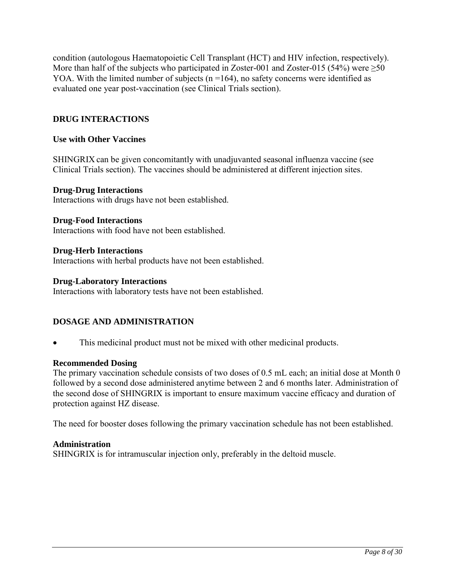<span id="page-7-0"></span>condition (autologous Haematopoietic Cell Transplant (HCT) and HIV infection, respectively). More than half of the subjects who participated in Zoster-001 and Zoster-015 (54%) were  $\geq 50$ YOA. With the limited number of subjects  $(n = 164)$ , no safety concerns were identified as evaluated one year post-vaccination (see Clinical Trials section).

### **DRUG INTERACTIONS**

### **Use with Other Vaccines**

SHINGRIX can be given concomitantly with unadjuvanted seasonal influenza vaccine (see Clinical Trials section). The vaccines should be administered at different injection sites.

### **Drug-Drug Interactions**

Interactions with drugs have not been established.

#### **Drug-Food Interactions**

Interactions with food have not been established.

### **Drug-Herb Interactions**

Interactions with herbal products have not been established.

#### **Drug-Laboratory Interactions**

Interactions with laboratory tests have not been established.

### **DOSAGE AND ADMINISTRATION**

• This medicinal product must not be mixed with other medicinal products.

### **Recommended Dosing**

The primary vaccination schedule consists of two doses of 0.5 mL each; an initial dose at Month 0 followed by a second dose administered anytime between 2 and 6 months later. Administration of the second dose of SHINGRIX is important to ensure maximum vaccine efficacy and duration of protection against HZ disease.

The need for booster doses following the primary vaccination schedule has not been established.

### **Administration**

SHINGRIX is for intramuscular injection only, preferably in the deltoid muscle.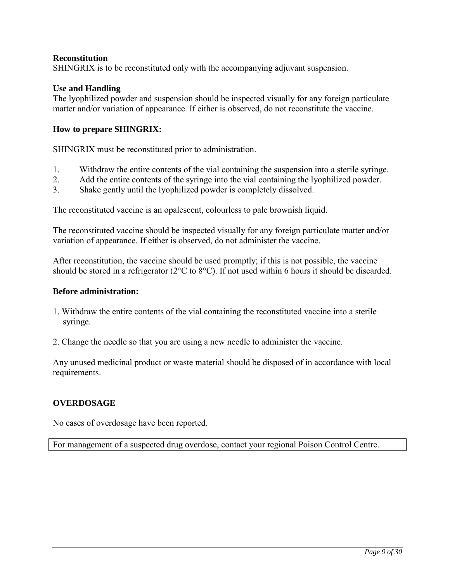### <span id="page-8-0"></span>**Reconstitution**

SHINGRIX is to be reconstituted only with the accompanying adjuvant suspension.

### **Use and Handling**

The lyophilized powder and suspension should be inspected visually for any foreign particulate matter and/or variation of appearance. If either is observed, do not reconstitute the vaccine.

### **How to prepare SHINGRIX:**

SHINGRIX must be reconstituted prior to administration.

- 1. Withdraw the entire contents of the vial containing the suspension into a sterile syringe.
- 2. Add the entire contents of the syringe into the vial containing the lyophilized powder.
- 3. Shake gently until the lyophilized powder is completely dissolved.

The reconstituted vaccine is an opalescent, colourless to pale brownish liquid.

The reconstituted vaccine should be inspected visually for any foreign particulate matter and/or variation of appearance. If either is observed, do not administer the vaccine.

After reconstitution, the vaccine should be used promptly; if this is not possible, the vaccine should be stored in a refrigerator (2°C to 8°C). If not used within 6 hours it should be discarded.

### **Before administration:**

- 1. Withdraw the entire contents of the vial containing the reconstituted vaccine into a sterile syringe.
- 2. Change the needle so that you are using a new needle to administer the vaccine.

Any unused medicinal product or waste material should be disposed of in accordance with local requirements.

### **OVERDOSAGE**

No cases of overdosage have been reported.

For management of a suspected drug overdose, contact your regional Poison Control Centre.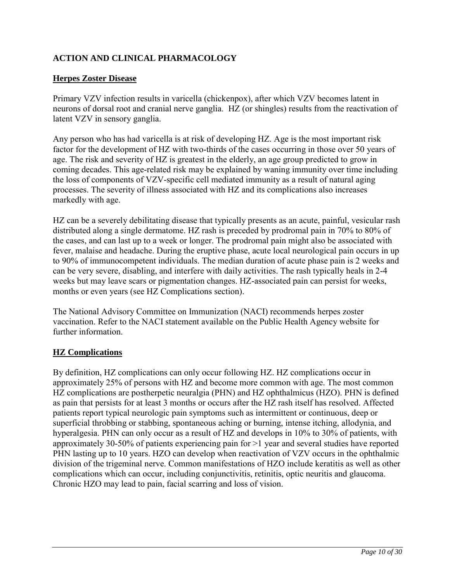## <span id="page-9-0"></span>**ACTION AND CLINICAL PHARMACOLOGY**

### **Herpes Zoster Disease**

Primary VZV infection results in varicella (chickenpox), after which VZV becomes latent in neurons of dorsal root and cranial nerve ganglia. HZ (or shingles) results from the reactivation of latent VZV in sensory ganglia.

Any person who has had varicella is at risk of developing HZ. Age is the most important risk factor for the development of HZ with two-thirds of the cases occurring in those over 50 years of age. The risk and severity of HZ is greatest in the elderly, an age group predicted to grow in coming decades. This age-related risk may be explained by waning immunity over time including the loss of components of VZV-specific cell mediated immunity as a result of natural aging processes. The severity of illness associated with HZ and its complications also increases markedly with age.

HZ can be a severely debilitating disease that typically presents as an acute, painful, vesicular rash distributed along a single dermatome. HZ rash is preceded by prodromal pain in 70% to 80% of the cases, and can last up to a week or longer. The prodromal pain might also be associated with fever, malaise and headache. During the eruptive phase, acute local neurological pain occurs in up to 90% of immunocompetent individuals. The median duration of acute phase pain is 2 weeks and can be very severe, disabling, and interfere with daily activities. The rash typically heals in 2-4 weeks but may leave scars or pigmentation changes. HZ-associated pain can persist for weeks, months or even years (see HZ Complications section).

The National Advisory Committee on Immunization (NACI) recommends herpes zoster vaccination. Refer to the NACI statement available on the Public Health Agency website for further information.

### **HZ Complications**

By definition, HZ complications can only occur following HZ. HZ complications occur in approximately 25% of persons with HZ and become more common with age. The most common HZ complications are postherpetic neuralgia (PHN) and HZ ophthalmicus (HZO). PHN is defined as pain that persists for at least 3 months or occurs after the HZ rash itself has resolved. Affected patients report typical neurologic pain symptoms such as intermittent or continuous, deep or superficial throbbing or stabbing, spontaneous aching or burning, intense itching, allodynia, and hyperalgesia. PHN can only occur as a result of HZ and develops in 10% to 30% of patients, with approximately 30-50% of patients experiencing pain for >1 year and several studies have reported PHN lasting up to 10 years. HZO can develop when reactivation of VZV occurs in the ophthalmic division of the trigeminal nerve. Common manifestations of HZO include keratitis as well as other complications which can occur, including conjunctivitis, retinitis, optic neuritis and glaucoma. Chronic HZO may lead to pain, facial scarring and loss of vision.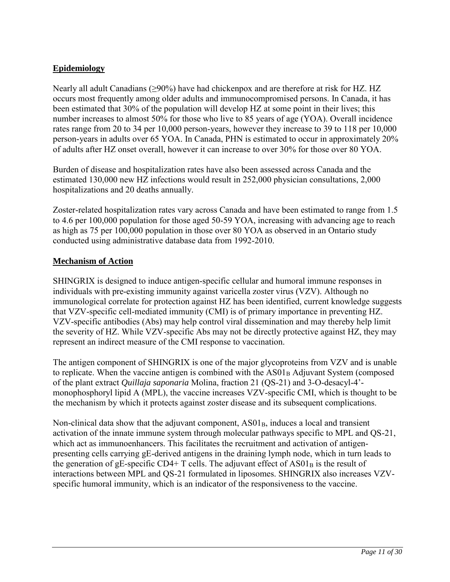### **Epidemiology**

Nearly all adult Canadians (≥90%) have had chickenpox and are therefore at risk for HZ. HZ occurs most frequently among older adults and immunocompromised persons. In Canada, it has been estimated that 30% of the population will develop HZ at some point in their lives; this number increases to almost 50% for those who live to 85 years of age (YOA). Overall incidence rates range from 20 to 34 per 10,000 person-years, however they increase to 39 to 118 per 10,000 person-years in adults over 65 YOA. In Canada, PHN is estimated to occur in approximately 20% of adults after HZ onset overall, however it can increase to over 30% for those over 80 YOA.

Burden of disease and hospitalization rates have also been assessed across Canada and the estimated 130,000 new HZ infections would result in 252,000 physician consultations, 2,000 hospitalizations and 20 deaths annually.

Zoster-related hospitalization rates vary across Canada and have been estimated to range from 1.5 to 4.6 per 100,000 population for those aged 50-59 YOA, increasing with advancing age to reach as high as 75 per 100,000 population in those over 80 YOA as observed in an Ontario study conducted using administrative database data from 1992-2010.

### **Mechanism of Action**

SHINGRIX is designed to induce antigen-specific cellular and humoral immune responses in individuals with pre-existing immunity against varicella zoster virus (VZV). Although no immunological correlate for protection against HZ has been identified, current knowledge suggests that VZV-specific cell-mediated immunity (CMI) is of primary importance in preventing HZ. VZV-specific antibodies (Abs) may help control viral dissemination and may thereby help limit the severity of HZ. While VZV-specific Abs may not be directly protective against HZ, they may represent an indirect measure of the CMI response to vaccination.

The antigen component of SHINGRIX is one of the major glycoproteins from VZV and is unable to replicate. When the vaccine antigen is combined with the  $AS01<sub>B</sub>$  Adjuvant System (composed of the plant extract *Quillaja saponaria* Molina, fraction 21 (QS-21) and 3-O-desacyl-4' monophosphoryl lipid A (MPL), the vaccine increases VZV-specific CMI, which is thought to be the mechanism by which it protects against zoster disease and its subsequent complications.

Non-clinical data show that the adjuvant component, AS01<sub>B</sub>, induces a local and transient activation of the innate immune system through molecular pathways specific to MPL and QS-21, which act as immunoenhancers. This facilitates the recruitment and activation of antigenpresenting cells carrying gE-derived antigens in the draining lymph node, which in turn leads to the generation of gE-specific CD4+ T cells. The adjuvant effect of  $AS01<sub>B</sub>$  is the result of interactions between MPL and QS-21 formulated in liposomes. SHINGRIX also increases VZVspecific humoral immunity, which is an indicator of the responsiveness to the vaccine.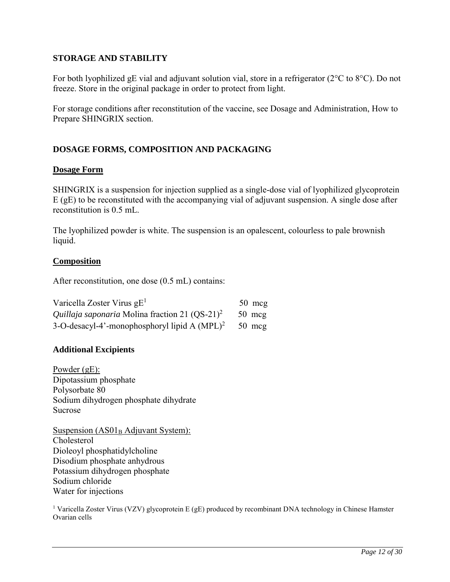### <span id="page-11-0"></span>**STORAGE AND STABILITY**

For both lyophilized gE vial and adjuvant solution vial, store in a refrigerator (2°C to 8°C). Do not freeze. Store in the original package in order to protect from light.

For storage conditions after reconstitution of the vaccine, see Dosage and Administration, How to Prepare SHINGRIX section.

## **DOSAGE FORMS, COMPOSITION AND PACKAGING**

### **Dosage Form**

SHINGRIX is a suspension for injection supplied as a single-dose vial of lyophilized glycoprotein E (gE) to be reconstituted with the accompanying vial of adjuvant suspension. A single dose after reconstitution is 0.5 mL.

The lyophilized powder is white. The suspension is an opalescent, colourless to pale brownish liquid.

### **Composition**

After reconstitution, one dose (0.5 mL) contains:

| Varicella Zoster Virus $gE1$                                      | $50 \text{ mg}$  |
|-------------------------------------------------------------------|------------------|
| <i>Quillaja saponaria</i> Molina fraction 21 (OS-21) <sup>2</sup> | $50 \text{ mcg}$ |
| 3-O-desacyl-4'-monophosphoryl lipid A $(MPL)^2$                   | $50 \text{ mcg}$ |

### **Additional Excipients**

Powder (gE): Dipotassium phosphate Polysorbate 80 Sodium dihydrogen phosphate dihydrate Sucrose

Suspension  $(AS01<sub>B</sub>$  Adjuvant System): Cholesterol Dioleoyl phosphatidylcholine Disodium phosphate anhydrous Potassium dihydrogen phosphate Sodium chloride Water for injections

<sup>1</sup> Varicella Zoster Virus (VZV) glycoprotein E (gE) produced by recombinant DNA technology in Chinese Hamster Ovarian cells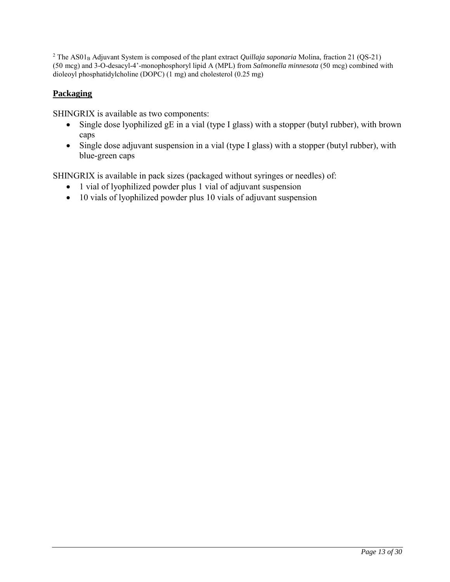<sup>2</sup> The AS01<sub>B</sub> Adjuvant System is composed of the plant extract *Quillaja saponaria* Molina, fraction 21 (QS-21) (50 mcg) and 3-O-desacyl-4'-monophosphoryl lipid A (MPL) from *Salmonella minnesota* (50 mcg) combined with dioleoyl phosphatidylcholine (DOPC) (1 mg) and cholesterol (0.25 mg)

## **Packaging**

SHINGRIX is available as two components:

- Single dose lyophilized gE in a vial (type I glass) with a stopper (butyl rubber), with brown caps
- Single dose adjuvant suspension in a vial (type I glass) with a stopper (butyl rubber), with blue-green caps

SHINGRIX is available in pack sizes (packaged without syringes or needles) of:

- 1 vial of lyophilized powder plus 1 vial of adjuvant suspension
- 10 vials of lyophilized powder plus 10 vials of adjuvant suspension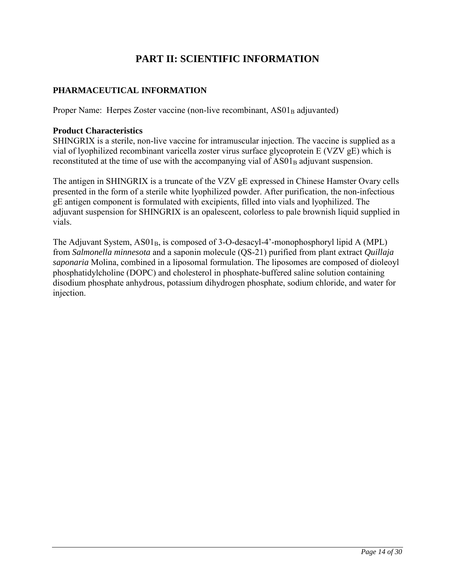# **PART II: SCIENTIFIC INFORMATION**

### <span id="page-13-0"></span>**PHARMACEUTICAL INFORMATION**

Proper Name: Herpes Zoster vaccine (non-live recombinant, AS01<sub>B</sub> adjuvanted)

#### **Product Characteristics**

SHINGRIX is a sterile, non-live vaccine for intramuscular injection. The vaccine is supplied as a vial of lyophilized recombinant varicella zoster virus surface glycoprotein E (VZV gE) which is reconstituted at the time of use with the accompanying vial of AS01<sub>B</sub> adjuvant suspension.

The antigen in SHINGRIX is a truncate of the VZV gE expressed in Chinese Hamster Ovary cells presented in the form of a sterile white lyophilized powder. After purification, the non-infectious gE antigen component is formulated with excipients, filled into vials and lyophilized. The adjuvant suspension for SHINGRIX is an opalescent, colorless to pale brownish liquid supplied in vials.

The Adjuvant System,  $AS01_B$ , is composed of 3-O-desacyl-4'-monophosphoryl lipid A (MPL) from *Salmonella minnesota* and a saponin molecule (QS-21) purified from plant extract *Quillaja saponaria* Molina, combined in a liposomal formulation. The liposomes are composed of dioleoyl phosphatidylcholine (DOPC) and cholesterol in phosphate-buffered saline solution containing disodium phosphate anhydrous, potassium dihydrogen phosphate, sodium chloride, and water for injection.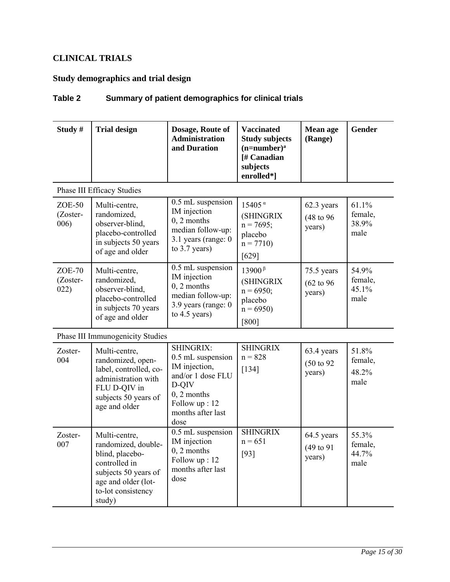# <span id="page-14-0"></span>**CLINICAL TRIALS**

# **Study demographics and trial design**

# <span id="page-14-1"></span>**Table 2 Summary of patient demographics for clinical trials**

| Study#                       | <b>Trial design</b>                                                                                                                                     | Dosage, Route of<br><b>Administration</b><br>and Duration                                                                                    | <b>Vaccinated</b><br><b>Study subjects</b><br>$(n=number)^a$<br>[# Canadian<br>subjects<br>enrolled*]   | Mean age<br>(Range)                           | Gender                            |
|------------------------------|---------------------------------------------------------------------------------------------------------------------------------------------------------|----------------------------------------------------------------------------------------------------------------------------------------------|---------------------------------------------------------------------------------------------------------|-----------------------------------------------|-----------------------------------|
|                              | <b>Phase III Efficacy Studies</b>                                                                                                                       |                                                                                                                                              |                                                                                                         |                                               |                                   |
| $ZOE-50$<br>(Zoster-<br>006) | Multi-centre,<br>randomized,<br>observer-blind,<br>placebo-controlled<br>in subjects 50 years<br>of age and older                                       | 0.5 mL suspension<br>IM injection<br>$0, 2$ months<br>median follow-up:<br>3.1 years (range: 0<br>to $3.7$ years)                            | $15405$ <sup><math>\alpha</math></sup><br>(SHINGRIX<br>$n = 7695$ ;<br>placebo<br>$n = 7710$<br>$[629]$ | 62.3 years<br>(48 to 96)<br>years)            | 61.1%<br>female,<br>38.9%<br>male |
| $ZOE-70$<br>(Zoster-<br>022) | Multi-centre,<br>randomized,<br>observer-blind,<br>placebo-controlled<br>in subjects 70 years<br>of age and older                                       | 0.5 mL suspension<br>IM injection<br>$0, 2$ months<br>median follow-up:<br>3.9 years (range: 0<br>to $4.5$ years)                            | $13900^{\beta}$<br>(SHINGRIX<br>$n = 6950$ ;<br>placebo<br>$n = 6950$<br>[800]                          | 75.5 years<br>$(62 \text{ to } 96)$<br>years) | 54.9%<br>female,<br>45.1%<br>male |
|                              | Phase III Immunogenicity Studies                                                                                                                        |                                                                                                                                              |                                                                                                         |                                               |                                   |
| Zoster-<br>004               | Multi-centre,<br>randomized, open-<br>label, controlled, co-<br>administration with<br>FLU D-QIV in<br>subjects 50 years of<br>age and older            | SHINGRIX:<br>0.5 mL suspension<br>IM injection,<br>and/or 1 dose FLU<br>D-QIV<br>$0, 2$ months<br>Follow up: 12<br>months after last<br>dose | <b>SHINGRIX</b><br>$n = 828$<br>$[134]$                                                                 | 63.4 years<br>(50 to 92)<br>years)            | 51.8%<br>female,<br>48.2%<br>male |
| Zoster-<br>007               | Multi-centre,<br>randomized, double-<br>blind, placebo-<br>controlled in<br>subjects 50 years of<br>age and older (lot-<br>to-lot consistency<br>study) | 0.5 mL suspension<br>IM injection<br>$0, 2$ months<br>Follow up: 12<br>months after last<br>dose                                             | <b>SHINGRIX</b><br>$n = 651$<br>$[93]$                                                                  | 64.5 years<br>$(49 \text{ to } 91)$<br>years) | 55.3%<br>female,<br>44.7%<br>male |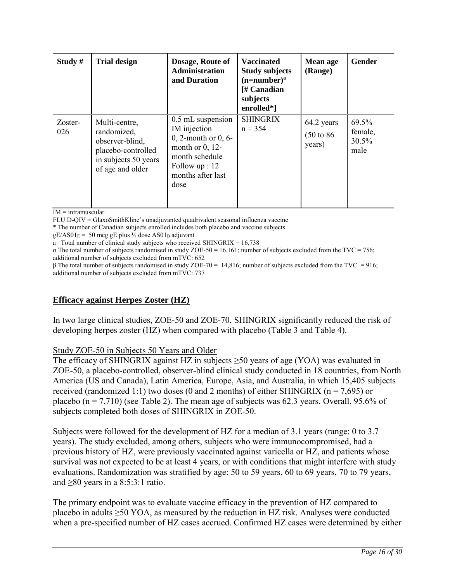| Study#         | <b>Trial design</b>                                                                                               | Dosage, Route of<br><b>Administration</b><br>and Duration                                                                                           | <b>Vaccinated</b><br><b>Study subjects</b><br>$(n=number)^a$<br>[# Canadian<br>subjects<br>enrolled*] | Mean age<br>(Range)                           | Gender                            |
|----------------|-------------------------------------------------------------------------------------------------------------------|-----------------------------------------------------------------------------------------------------------------------------------------------------|-------------------------------------------------------------------------------------------------------|-----------------------------------------------|-----------------------------------|
| Zoster-<br>026 | Multi-centre,<br>randomized,<br>observer-blind,<br>placebo-controlled<br>in subjects 50 years<br>of age and older | 0.5 mL suspension<br>IM injection<br>0, 2-month or $0, 6$ -<br>month or $0$ , 12-<br>month schedule<br>Follow $up: 12$<br>months after last<br>dose | <b>SHINGRIX</b><br>$n = 354$                                                                          | 64.2 years<br>$(50 \text{ to } 86)$<br>years) | 69.5%<br>female,<br>30.5%<br>male |

 $\overline{IM}$  = intramuscular

FLU D-QIV = GlaxoSmithKline's unadjuvanted quadrivalent seasonal influenza vaccine

\* The number of Canadian subjects enrolled includes both placebo and vaccine subjects

 $gE/AS01<sub>E</sub> = 50$  mcg gE plus  $\frac{1}{2}$  dose AS01<sub>B</sub> adjuvant

a Total number of clinical study subjects who received SHINGRIX =  $16,738$ 

 $\alpha$  The total number of subjects randomised in study ZOE-50 = 16,161; number of subjects excluded from the TVC = 756; additional number of subjects excluded from mTVC: 652

β The total number of subjects randomised in study ZOE-70 = 14,816; number of subjects excluded from the TVC = 916; additional number of subjects excluded from mTVC: 737

## **Efficacy against Herpes Zoster (HZ)**

In two large clinical studies, ZOE-50 and ZOE-70, SHINGRIX significantly reduced the risk of developing herpes zoster (HZ) when compared with placebo [\(Table 3](#page-16-0) and [Table 4\)](#page-18-0).

### Study ZOE-50 in Subjects 50 Years and Older

The efficacy of SHINGRIX against HZ in subjects  $>50$  years of age (YOA) was evaluated in ZOE-50, a placebo-controlled, observer-blind clinical study conducted in 18 countries, from North America (US and Canada), Latin America, Europe, Asia, and Australia, in which 15,405 subjects received (randomized 1:1) two doses (0 and 2 months) of either SHINGRIX ( $n = 7,695$ ) or placebo ( $n = 7,710$ ) (see [Table 2\)](#page-14-1). The mean age of subjects was 62.3 years. Overall, 95.6% of subjects completed both doses of SHINGRIX in ZOE-50.

Subjects were followed for the development of HZ for a median of 3.1 years (range: 0 to 3.7 years). The study excluded, among others, subjects who were immunocompromised, had a previous history of HZ, were previously vaccinated against varicella or HZ, and patients whose survival was not expected to be at least 4 years, or with conditions that might interfere with study evaluations. Randomization was stratified by age: 50 to 59 years, 60 to 69 years, 70 to 79 years, and  $\geq 80$  years in a 8:5:3:1 ratio.

The primary endpoint was to evaluate vaccine efficacy in the prevention of HZ compared to placebo in adults ≥50 YOA, as measured by the reduction in HZ risk. Analyses were conducted when a pre-specified number of HZ cases accrued. Confirmed HZ cases were determined by either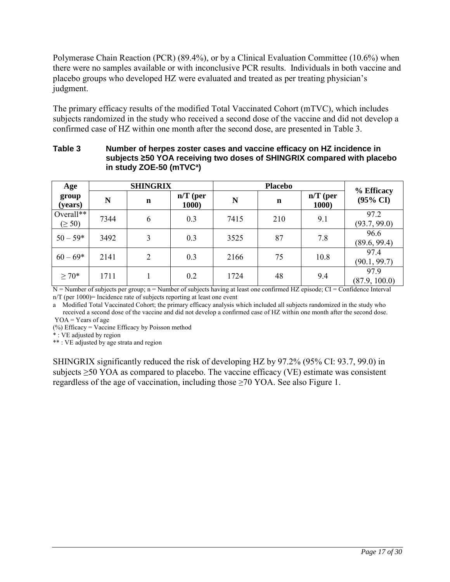Polymerase Chain Reaction (PCR) (89.4%), or by a Clinical Evaluation Committee (10.6%) when there were no samples available or with inconclusive PCR results. Individuals in both vaccine and placebo groups who developed HZ were evaluated and treated as per treating physician's judgment.

The primary efficacy results of the modified Total Vaccinated Cohort (mTVC), which includes subjects randomized in the study who received a second dose of the vaccine and did not develop a confirmed case of HZ within one month after the second dose, are presented in [Table 3.](#page-16-0)

|                          |                 | IN STUDY $\angle$ UE-30 (MIVG") |                     |                |             |                             |                                   |
|--------------------------|-----------------|---------------------------------|---------------------|----------------|-------------|-----------------------------|-----------------------------------|
| Age                      | <b>SHINGRIX</b> |                                 |                     | <b>Placebo</b> |             |                             |                                   |
| group<br>(years)         | N               | $\mathbf n$                     | $n/T$ (per<br>1000) | N              | $\mathbf n$ | $n/T$ (per<br><b>1000</b> ) | % Efficacy<br>$(95\% \text{ CI})$ |
| Overall**<br>$(\geq 50)$ | 7344            | 6                               | 0.3                 | 7415           | 210         | 9.1                         | 97.2<br>(93.7, 99.0)              |
| $50 - 59*$               | 3492            | 3                               | 0.3                 | 3525           | 87          | 7.8                         | 96.6<br>(89.6, 99.4)              |
| $60 - 69*$               | 2141            | 2                               | 0.3                 | 2166           | 75          | 10.8                        | 97.4<br>(90.1, 99.7)              |
| $\geq 70*$               | 1711            |                                 | 0.2                 | 1724           | 48          | 9.4                         | 97.9<br>(87.9, 100.0)             |

### <span id="page-16-0"></span>**Table 3 Number of herpes zoster cases and vaccine efficacy on HZ incidence in subjects ≥50 YOA receiving two doses of SHINGRIX compared with placebo in study ZOE-50 (mTVC<sup>a</sup> )**

N = Number of subjects per group; n = Number of subjects having at least one confirmed HZ episode; CI = Confidence Interval  $n/T$  (per 1000)= Incidence rate of subjects reporting at least one event

a Modified Total Vaccinated Cohort; the primary efficacy analysis which included all subjects randomized in the study who received a second dose of the vaccine and did not develop a confirmed case of HZ within one month after the second dose.  $YOA = Years of age$ 

(%) Efficacy = Vaccine Efficacy by Poisson method

\* : VE adjusted by region

\*\* : VE adjusted by age strata and region

SHINGRIX significantly reduced the risk of developing HZ by 97.2% (95% CI: 93.7, 99.0) in subjects  $\geq$ 50 YOA as compared to placebo. The vaccine efficacy (VE) estimate was consistent regardless of the age of vaccination, including those ≥70 YOA. See also [Figure 1.](#page-17-0)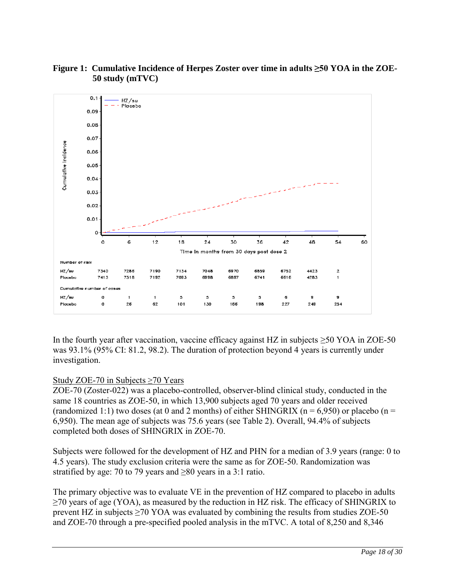

### <span id="page-17-0"></span>**Figure 1: Cumulative Incidence of Herpes Zoster over time in adults ≥50 YOA in the ZOE-50 study (mTVC)**

In the fourth year after vaccination, vaccine efficacy against HZ in subjects  $\geq$ 50 YOA in ZOE-50 was 93.1% (95% CI: 81.2, 98.2). The duration of protection beyond 4 years is currently under investigation.

### Study ZOE-70 in Subjects ≥70 Years

ZOE-70 (Zoster-022) was a placebo-controlled, observer-blind clinical study, conducted in the same 18 countries as ZOE-50, in which 13,900 subjects aged 70 years and older received (randomized 1:1) two doses (at 0 and 2 months) of either SHINGRIX ( $n = 6.950$ ) or placebo ( $n =$ 6,950). The mean age of subjects was 75.6 years (see [Table 2\)](#page-14-1). Overall, 94.4% of subjects completed both doses of SHINGRIX in ZOE-70.

Subjects were followed for the development of HZ and PHN for a median of 3.9 years (range: 0 to 4.5 years). The study exclusion criteria were the same as for ZOE-50. Randomization was stratified by age: 70 to 79 years and  $\geq 80$  years in a 3:1 ratio.

The primary objective was to evaluate VE in the prevention of HZ compared to placebo in adults ≥70 years of age (YOA), as measured by the reduction in HZ risk. The efficacy of SHINGRIX to prevent HZ in subjects  $\geq$  70 YOA was evaluated by combining the results from studies ZOE-50 and ZOE-70 through a pre-specified pooled analysis in the mTVC. A total of 8,250 and 8,346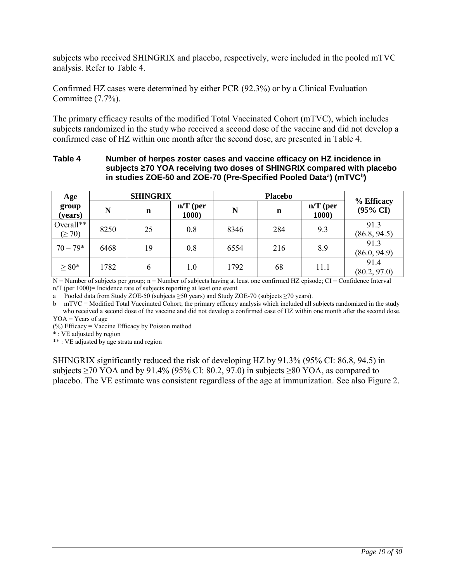subjects who received SHINGRIX and placebo, respectively, were included in the pooled mTVC analysis. Refer to [Table 4.](#page-18-0)

Confirmed HZ cases were determined by either PCR (92.3%) or by a Clinical Evaluation Committee (7.7%).

The primary efficacy results of the modified Total Vaccinated Cohort (mTVC), which includes subjects randomized in the study who received a second dose of the vaccine and did not develop a confirmed case of HZ within one month after the second dose, are presented in Table 4.

### <span id="page-18-0"></span>**Table 4 Number of herpes zoster cases and vaccine efficacy on HZ incidence in subjects ≥70 YOA receiving two doses of SHINGRIX compared with placebo in studies ZOE-50 and ZOE-70 (Pre-Specified Pooled Data<sup>a</sup> ) (mTVC<sup>b</sup> )**

| Age                      | <b>SHINGRIX</b> |             |                     | <b>Placebo</b> |     |                     | % Efficacy           |
|--------------------------|-----------------|-------------|---------------------|----------------|-----|---------------------|----------------------|
| group<br>(years)         | N               | $\mathbf n$ | $n/T$ (per<br>1000) | N              | n   | $n/T$ (per<br>1000) | $(95\% \text{ CI})$  |
| Overall**<br>$(\geq 70)$ | 8250            | 25          | 0.8                 | 8346           | 284 | 9.3                 | 91.3<br>(86.8, 94.5) |
| $70 - 79*$               | 6468            | 19          | 0.8                 | 6554           | 216 | 8.9                 | 91.3<br>(86.0, 94.9) |
| $\geq 80*$               | 1782            | 6           | 1.0                 | 1792           | 68  | 11.1                | 91.4<br>(80.2, 97.0) |

 $N =$  Number of subjects per group; n = Number of subjects having at least one confirmed HZ episode; CI = Confidence Interval  $n/T$  (per 1000)= Incidence rate of subjects reporting at least one event

a Pooled data from Study ZOE-50 (subjects  $\geq$ 50 years) and Study ZOE-70 (subjects  $\geq$ 70 years).

b mTVC = Modified Total Vaccinated Cohort; the primary efficacy analysis which included all subjects randomized in the study who received a second dose of the vaccine and did not develop a confirmed case of HZ within one month after the second dose.  $YOA = Years of age$ 

 $(\%)$  Efficacy = Vaccine Efficacy by Poisson method

\* : VE adjusted by region

\*\* : VE adjusted by age strata and region

SHINGRIX significantly reduced the risk of developing HZ by 91.3% (95% CI: 86.8, 94.5) in subjects  $\geq$  70 YOA and by 91.4% (95% CI: 80.2, 97.0) in subjects  $\geq$  80 YOA, as compared to placebo. The VE estimate was consistent regardless of the age at immunization. See also [Figure 2.](#page-19-0)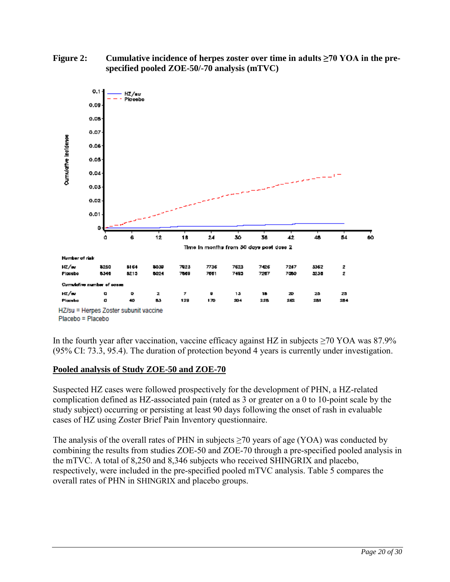

<span id="page-19-0"></span>**Figure 2: Cumulative incidence of herpes zoster over time in adults ≥70 YOA in the prespecified pooled ZOE-50/-70 analysis (mTVC)**

In the fourth year after vaccination, vaccine efficacy against HZ in subjects  $\geq$ 70 YOA was 87.9% (95% CI: 73.3, 95.4). The duration of protection beyond 4 years is currently under investigation.

# **Pooled analysis of Study ZOE-50 and ZOE-70**

Suspected HZ cases were followed prospectively for the development of PHN, a HZ-related complication defined as HZ-associated pain (rated as 3 or greater on a 0 to 10-point scale by the study subject) occurring or persisting at least 90 days following the onset of rash in evaluable cases of HZ using Zoster Brief Pain Inventory questionnaire.

The analysis of the overall rates of PHN in subjects  $\geq$ 70 years of age (YOA) was conducted by combining the results from studies ZOE-50 and ZOE-70 through a pre-specified pooled analysis in the mTVC. A total of 8,250 and 8,346 subjects who received SHINGRIX and placebo, respectively, were included in the pre-specified pooled mTVC analysis. [Table 5](#page-20-0) compares the overall rates of PHN in SHINGRIX and placebo groups.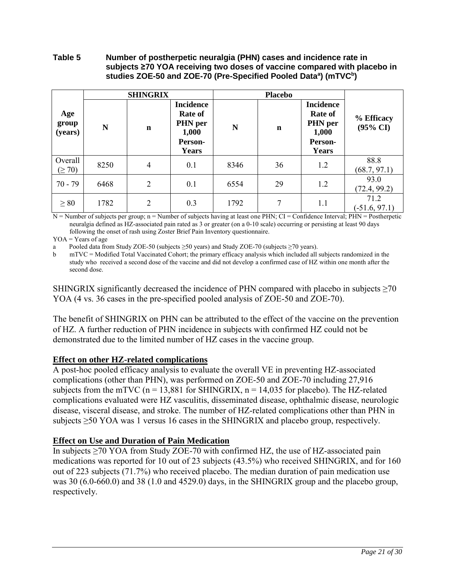### <span id="page-20-0"></span>**Table 5 Number of postherpetic neuralgia (PHN) cases and incidence rate in subjects ≥70 YOA receiving two doses of vaccine compared with placebo in studies ZOE-50 and ZOE-70 (Pre-Specified Pooled Data<sup>a</sup> ) (mTVC<sup>b</sup> )**

|                         | <b>SHINGRIX</b> |                | <b>Placebo</b>                                                                    |      |             |                                                                     |                                   |
|-------------------------|-----------------|----------------|-----------------------------------------------------------------------------------|------|-------------|---------------------------------------------------------------------|-----------------------------------|
| Age<br>group<br>(years) | N               | $\mathbf n$    | <b>Incidence</b><br><b>Rate of</b><br>PHN per<br>1,000<br>Person-<br><b>Years</b> | N    | $\mathbf n$ | <b>Incidence</b><br>Rate of<br>PHN per<br>1,000<br>Person-<br>Years | % Efficacy<br>$(95\% \text{ CI})$ |
| Overall<br>$(\geq 70)$  | 8250            | $\overline{4}$ | 0.1                                                                               | 8346 | 36          | 1.2                                                                 | 88.8<br>(68.7, 97.1)              |
| $70 - 79$               | 6468            | $\overline{2}$ | 0.1                                                                               | 6554 | 29          | 1.2                                                                 | 93.0<br>(72.4, 99.2)              |
| $\geq 80$               | 1782            | $\overline{2}$ | 0.3                                                                               | 1792 | 7           | 1.1                                                                 | 71.2<br>$(-51.6, 97.1)$           |

N = Number of subjects per group; n = Number of subjects having at least one PHN; CI = Confidence Interval; PHN = Postherpetic neuralgia defined as HZ-associated pain rated as 3 or greater (on a 0-10 scale) occurring or persisting at least 90 days following the onset of rash using Zoster Brief Pain Inventory questionnaire.

 $YOA = Years of age$ 

a Pooled data from Study ZOE-50 (subjects  $\geq$ 50 years) and Study ZOE-70 (subjects  $\geq$ 70 years).

b mTVC = Modified Total Vaccinated Cohort; the primary efficacy analysis which included all subjects randomized in the study who received a second dose of the vaccine and did not develop a confirmed case of HZ within one month after the second dose.

SHINGRIX significantly decreased the incidence of PHN compared with placebo in subjects  $\geq 70$ YOA (4 vs. 36 cases in the pre-specified pooled analysis of ZOE-50 and ZOE-70).

The benefit of SHINGRIX on PHN can be attributed to the effect of the vaccine on the prevention of HZ. A further reduction of PHN incidence in subjects with confirmed HZ could not be demonstrated due to the limited number of HZ cases in the vaccine group.

### **Effect on other HZ-related complications**

A post-hoc pooled efficacy analysis to evaluate the overall VE in preventing HZ-associated complications (other than PHN), was performed on ZOE-50 and ZOE-70 including 27,916 subjects from the mTVC ( $n = 13,881$  for SHINGRIX,  $n = 14,035$  for placebo). The HZ-related complications evaluated were HZ vasculitis, disseminated disease, ophthalmic disease, neurologic disease, visceral disease, and stroke. The number of HZ-related complications other than PHN in subjects  $\geq$ 50 YOA was 1 versus 16 cases in the SHINGRIX and placebo group, respectively.

## **Effect on Use and Duration of Pain Medication**

In subjects >70 YOA from Study ZOE-70 with confirmed HZ, the use of HZ-associated pain medications was reported for 10 out of 23 subjects (43.5%) who received SHINGRIX, and for 160 out of 223 subjects (71.7%) who received placebo. The median duration of pain medication use was 30 (6.0-660.0) and 38 (1.0 and 4529.0) days, in the SHINGRIX group and the placebo group, respectively.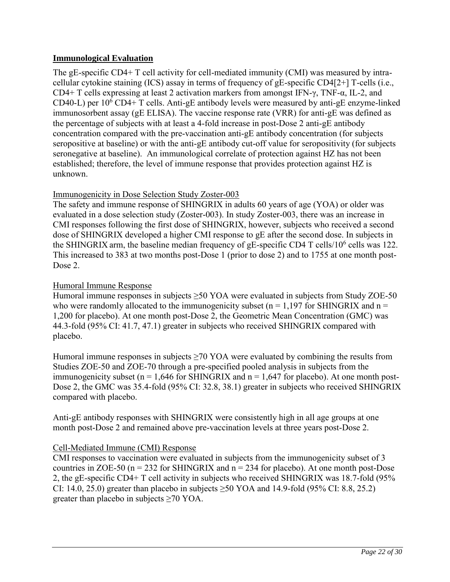### **Immunological Evaluation**

The gE-specific CD4+ T cell activity for cell-mediated immunity (CMI) was measured by intracellular cytokine staining (ICS) assay in terms of frequency of gE-specific CD4[2+] T-cells (i.e., CD4+ T cells expressing at least 2 activation markers from amongst IFN-γ, TNF-α, IL-2, and CD40-L) per  $10^6$  CD4+ T cells. Anti-gE antibody levels were measured by anti-gE enzyme-linked immunosorbent assay (gE ELISA). The vaccine response rate (VRR) for anti-gE was defined as the percentage of subjects with at least a 4-fold increase in post-Dose 2 anti-gE antibody concentration compared with the pre-vaccination anti-gE antibody concentration (for subjects seropositive at baseline) or with the anti-gE antibody cut-off value for seropositivity (for subjects seronegative at baseline). An immunological correlate of protection against HZ has not been established; therefore, the level of immune response that provides protection against HZ is unknown.

### Immunogenicity in Dose Selection Study Zoster-003

The safety and immune response of SHINGRIX in adults 60 years of age (YOA) or older was evaluated in a dose selection study (Zoster-003). In study Zoster-003, there was an increase in CMI responses following the first dose of SHINGRIX, however, subjects who received a second dose of SHINGRIX developed a higher CMI response to gE after the second dose. In subjects in the SHINGRIX arm, the baseline median frequency of gE-specific CD4 T cells/ $10^6$  cells was 122. This increased to 383 at two months post-Dose 1 (prior to dose 2) and to 1755 at one month post-Dose 2.

### Humoral Immune Response

Humoral immune responses in subjects  $\geq$ 50 YOA were evaluated in subjects from Study ZOE-50 who were randomly allocated to the immunogenicity subset ( $n = 1,197$  for SHINGRIX and  $n =$ 1,200 for placebo). At one month post-Dose 2, the Geometric Mean Concentration (GMC) was 44.3-fold (95% CI: 41.7, 47.1) greater in subjects who received SHINGRIX compared with placebo.

Humoral immune responses in subjects  $\geq$  70 YOA were evaluated by combining the results from Studies ZOE-50 and ZOE-70 through a pre-specified pooled analysis in subjects from the immunogenicity subset ( $n = 1,646$  for SHINGRIX and  $n = 1,647$  for placebo). At one month post-Dose 2, the GMC was 35.4-fold (95% CI: 32.8, 38.1) greater in subjects who received SHINGRIX compared with placebo.

Anti-gE antibody responses with SHINGRIX were consistently high in all age groups at one month post-Dose 2 and remained above pre-vaccination levels at three years post-Dose 2.

## Cell-Mediated Immune (CMI) Response

CMI responses to vaccination were evaluated in subjects from the immunogenicity subset of 3 countries in ZOE-50 ( $n = 232$  for SHINGRIX and  $n = 234$  for placebo). At one month post-Dose 2, the gE-specific CD4+ T cell activity in subjects who received SHINGRIX was 18.7-fold (95% CI: 14.0, 25.0) greater than placebo in subjects  $\geq$  50 YOA and 14.9-fold (95% CI: 8.8, 25.2) greater than placebo in subjects  $\geq 70$  YOA.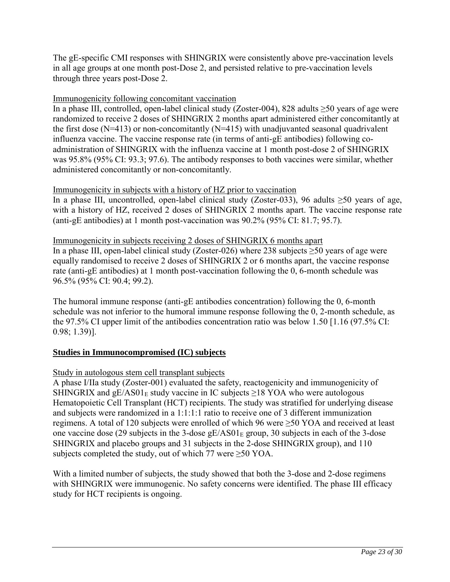The gE-specific CMI responses with SHINGRIX were consistently above pre-vaccination levels in all age groups at one month post-Dose 2, and persisted relative to pre-vaccination levels through three years post-Dose 2.

### Immunogenicity following concomitant vaccination

In a phase III, controlled, open-label clinical study (Zoster-004), 828 adults ≥50 years of age were randomized to receive 2 doses of SHINGRIX 2 months apart administered either concomitantly at the first dose ( $N=413$ ) or non-concomitantly ( $N=415$ ) with unadjuvanted seasonal quadrivalent influenza vaccine. The vaccine response rate (in terms of anti-gE antibodies) following coadministration of SHINGRIX with the influenza vaccine at 1 month post-dose 2 of SHINGRIX was 95.8% (95% CI: 93.3; 97.6). The antibody responses to both vaccines were similar, whether administered concomitantly or non-concomitantly.

### Immunogenicity in subjects with a history of HZ prior to vaccination

In a phase III, uncontrolled, open-label clinical study (Zoster-033), 96 adults  $\geq 50$  years of age, with a history of HZ, received 2 doses of SHINGRIX 2 months apart. The vaccine response rate (anti-gE antibodies) at 1 month post-vaccination was 90.2% (95% CI: 81.7; 95.7).

### Immunogenicity in subjects receiving 2 doses of SHINGRIX 6 months apart

In a phase III, open-label clinical study (Zoster-026) where 238 subjects ≥50 years of age were equally randomised to receive 2 doses of SHINGRIX 2 or 6 months apart, the vaccine response rate (anti-gE antibodies) at 1 month post-vaccination following the 0, 6-month schedule was 96.5% (95% CI: 90.4; 99.2).

The humoral immune response (anti-gE antibodies concentration) following the 0, 6-month schedule was not inferior to the humoral immune response following the 0, 2-month schedule, as the 97.5% CI upper limit of the antibodies concentration ratio was below 1.50 [1.16 (97.5% CI: 0.98; 1.39)].

## **Studies in Immunocompromised (IC) subjects**

### Study in autologous stem cell transplant subjects

A phase I/IIa study (Zoster-001) evaluated the safety, reactogenicity and immunogenicity of SHINGRIX and  $gE/AS01<sub>E</sub>$  study vaccine in IC subjects  $\geq$ 18 YOA who were autologous Hematopoietic Cell Transplant (HCT) recipients. The study was stratified for underlying disease and subjects were randomized in a 1:1:1:1 ratio to receive one of 3 different immunization regimens. A total of 120 subjects were enrolled of which 96 were ≥50 YOA and received at least one vaccine dose (29 subjects in the 3-dose gE/AS01 $_{E}$  group, 30 subjects in each of the 3-dose SHINGRIX and placebo groups and 31 subjects in the 2-dose SHINGRIX group), and 110 subjects completed the study, out of which 77 were  $\geq 50$  YOA.

With a limited number of subjects, the study showed that both the 3-dose and 2-dose regimens with SHINGRIX were immunogenic. No safety concerns were identified. The phase III efficacy study for HCT recipients is ongoing.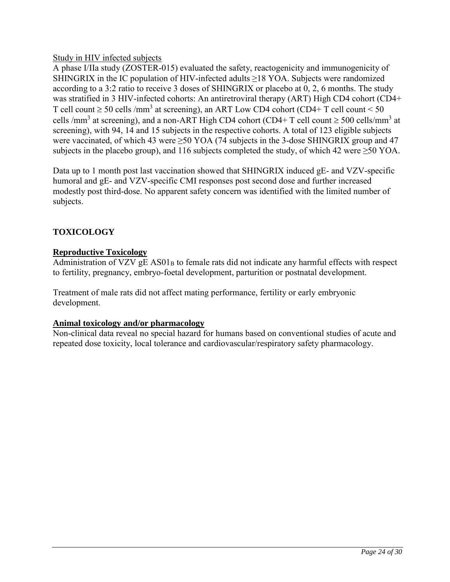<span id="page-23-0"></span>Study in HIV infected subjects

A phase I/IIa study (ZOSTER-015) evaluated the safety, reactogenicity and immunogenicity of SHINGRIX in the IC population of HIV-infected adults  $\geq$ 18 YOA. Subjects were randomized according to a 3:2 ratio to receive 3 doses of SHINGRIX or placebo at 0, 2, 6 months. The study was stratified in 3 HIV-infected cohorts: An antiretroviral therapy (ART) High CD4 cohort (CD4+ T cell count  $\geq$  50 cells /mm<sup>3</sup> at screening), an ART Low CD4 cohort (CD4+ T cell count < 50 cells /mm<sup>3</sup> at screening), and a non-ART High CD4 cohort (CD4+ T cell count  $\geq$  500 cells/mm<sup>3</sup> at screening), with 94, 14 and 15 subjects in the respective cohorts. A total of 123 eligible subjects were vaccinated, of which 43 were ≥50 YOA (74 subjects in the 3-dose SHINGRIX group and 47 subjects in the placebo group), and 116 subjects completed the study, of which 42 were ≥50 YOA.

Data up to 1 month post last vaccination showed that SHINGRIX induced gE- and VZV-specific humoral and gE- and VZV-specific CMI responses post second dose and further increased modestly post third-dose. No apparent safety concern was identified with the limited number of subjects.

## **TOXICOLOGY**

### **Reproductive Toxicology**

Administration of VZV  $gE$  AS01<sub>B</sub> to female rats did not indicate any harmful effects with respect to fertility, pregnancy, embryo-foetal development, parturition or postnatal development.

Treatment of male rats did not affect mating performance, fertility or early embryonic development.

## **Animal toxicology and/or pharmacology**

Non-clinical data reveal no special hazard for humans based on conventional studies of acute and repeated dose toxicity, local tolerance and cardiovascular/respiratory safety pharmacology.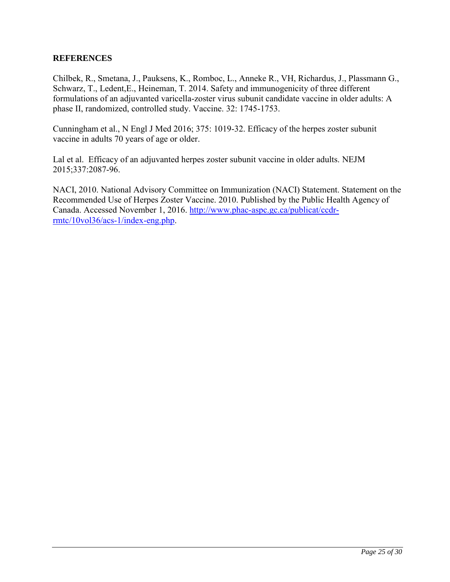### <span id="page-24-0"></span>**REFERENCES**

Chilbek, R., Smetana, J., Pauksens, K., Romboc, L., Anneke R., VH, Richardus, J., Plassmann G., Schwarz, T., Ledent,E., Heineman, T. 2014. Safety and immunogenicity of three different formulations of an adjuvanted varicella-zoster virus subunit candidate vaccine in older adults: A phase II, randomized, controlled study. Vaccine. 32: 1745-1753.

Cunningham et al., N Engl J Med 2016; 375: 1019-32. Efficacy of the herpes zoster subunit vaccine in adults 70 years of age or older.

Lal et al. Efficacy of an adjuvanted herpes zoster subunit vaccine in older adults. NEJM 2015;337:2087-96.

NACI, 2010. National Advisory Committee on Immunization (NACI) Statement. Statement on the Recommended Use of Herpes Zoster Vaccine. 2010. Published by the Public Health Agency of Canada. Accessed November 1, 2016. [http://www.phac-aspc.gc.ca/publicat/ccdr](http://www.phac-aspc.gc.ca/publicat/ccdr-rmtc/10vol36/acs-1/index-eng.php)[rmtc/10vol36/acs-1/index-eng.php.](http://www.phac-aspc.gc.ca/publicat/ccdr-rmtc/10vol36/acs-1/index-eng.php)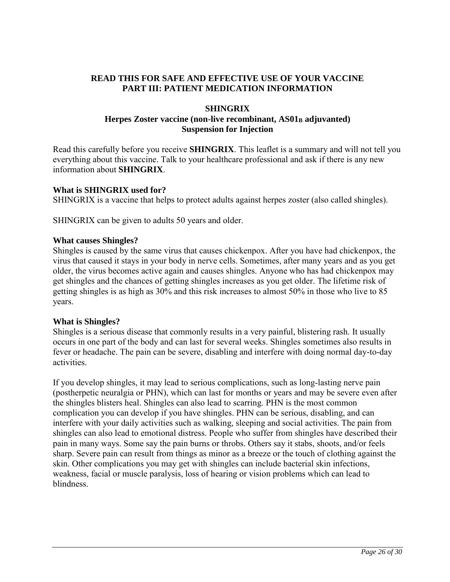### <span id="page-25-0"></span>**READ THIS FOR SAFE AND EFFECTIVE USE OF YOUR VACCINE PART III: PATIENT MEDICATION INFORMATION**

### **SHINGRIX Herpes Zoster vaccine (non-live recombinant, AS01<sup>B</sup> adjuvanted) Suspension for Injection**

Read this carefully before you receive **SHINGRIX**. This leaflet is a summary and will not tell you everything about this vaccine. Talk to your healthcare professional and ask if there is any new information about **SHINGRIX**.

### **What is SHINGRIX used for?**

SHINGRIX is a vaccine that helps to protect adults against herpes zoster (also called shingles).

SHINGRIX can be given to adults 50 years and older.

### **What causes Shingles?**

Shingles is caused by the same virus that causes chickenpox. After you have had chickenpox, the virus that caused it stays in your body in nerve cells. Sometimes, after many years and as you get older, the virus becomes active again and causes shingles. Anyone who has had chickenpox may get shingles and the chances of getting shingles increases as you get older. The lifetime risk of getting shingles is as high as 30% and this risk increases to almost 50% in those who live to 85 years.

### **What is Shingles?**

Shingles is a serious disease that commonly results in a very painful, blistering rash. It usually occurs in one part of the body and can last for several weeks. Shingles sometimes also results in fever or headache. The pain can be severe, disabling and interfere with doing normal day-to-day activities.

If you develop shingles, it may lead to serious complications, such as long-lasting nerve pain (postherpetic neuralgia or PHN), which can last for months or years and may be severe even after the shingles blisters heal. Shingles can also lead to scarring. PHN is the most common complication you can develop if you have shingles. PHN can be serious, disabling, and can interfere with your daily activities such as walking, sleeping and social activities. The pain from shingles can also lead to emotional distress. People who suffer from shingles have described their pain in many ways. Some say the pain burns or throbs. Others say it stabs, shoots, and/or feels sharp. Severe pain can result from things as minor as a breeze or the touch of clothing against the skin. Other complications you may get with shingles can include bacterial skin infections, weakness, facial or muscle paralysis, loss of hearing or vision problems which can lead to blindness.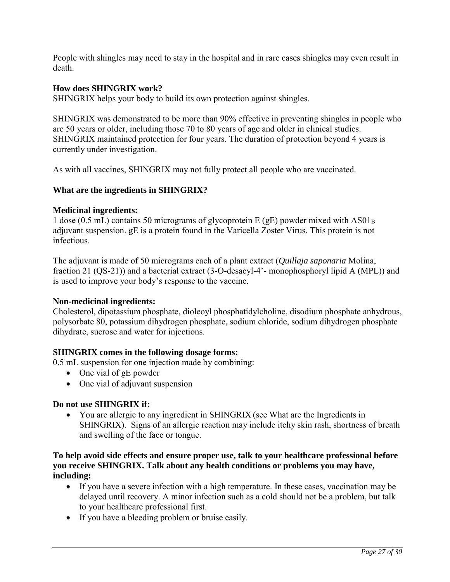People with shingles may need to stay in the hospital and in rare cases shingles may even result in death.

### **How does SHINGRIX work?**

SHINGRIX helps your body to build its own protection against shingles.

SHINGRIX was demonstrated to be more than 90% effective in preventing shingles in people who are 50 years or older, including those 70 to 80 years of age and older in clinical studies. SHINGRIX maintained protection for four years. The duration of protection beyond 4 years is currently under investigation.

As with all vaccines, SHINGRIX may not fully protect all people who are vaccinated.

### **What are the ingredients in SHINGRIX?**

### **Medicinal ingredients:**

1 dose (0.5 mL) contains 50 micrograms of glycoprotein E (gE) powder mixed with  $AS01<sub>B</sub>$ adjuvant suspension. gE is a protein found in the Varicella Zoster Virus. This protein is not infectious.

The adjuvant is made of 50 micrograms each of a plant extract (*Quillaja saponaria* Molina, fraction 21 (QS-21)) and a bacterial extract (3-O-desacyl-4'- monophosphoryl lipid A (MPL)) and is used to improve your body's response to the vaccine.

### **Non-medicinal ingredients:**

Cholesterol, dipotassium phosphate, dioleoyl phosphatidylcholine, disodium phosphate anhydrous, polysorbate 80, potassium dihydrogen phosphate, sodium chloride, sodium dihydrogen phosphate dihydrate, sucrose and water for injections.

### **SHINGRIX comes in the following dosage forms:**

0.5 mL suspension for one injection made by combining:

- One vial of gE powder
- One vial of adjuvant suspension

### **Do not use SHINGRIX if:**

• You are allergic to any ingredient in SHINGRIX (see What are the Ingredients in SHINGRIX). Signs of an allergic reaction may include itchy skin rash, shortness of breath and swelling of the face or tongue.

### **To help avoid side effects and ensure proper use, talk to your healthcare professional before you receive SHINGRIX. Talk about any health conditions or problems you may have, including:**

- If you have a severe infection with a high temperature. In these cases, vaccination may be delayed until recovery. A minor infection such as a cold should not be a problem, but talk to your healthcare professional first.
- If you have a bleeding problem or bruise easily.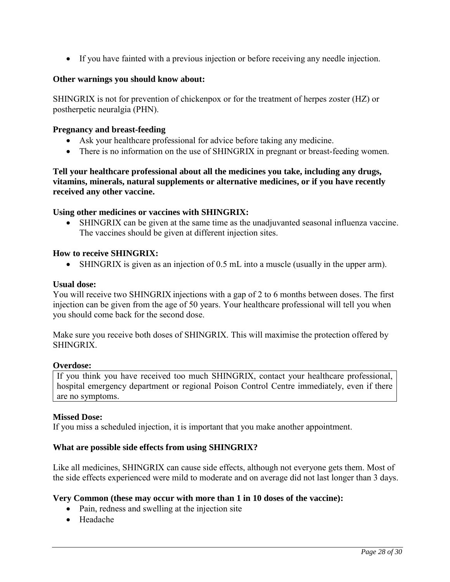• If you have fainted with a previous injection or before receiving any needle injection.

### **Other warnings you should know about:**

SHINGRIX is not for prevention of chickenpox or for the treatment of herpes zoster (HZ) or postherpetic neuralgia (PHN).

### **Pregnancy and breast-feeding**

- Ask your healthcare professional for advice before taking any medicine.
- There is no information on the use of SHINGRIX in pregnant or breast-feeding women.

### **Tell your healthcare professional about all the medicines you take, including any drugs, vitamins, minerals, natural supplements or alternative medicines, or if you have recently received any other vaccine.**

### **Using other medicines or vaccines with SHINGRIX:**

• SHINGRIX can be given at the same time as the unadjuvanted seasonal influenza vaccine. The vaccines should be given at different injection sites.

### **How to receive SHINGRIX:**

• SHINGRIX is given as an injection of 0.5 mL into a muscle (usually in the upper arm).

#### **Usual dose:**

You will receive two SHINGRIX injections with a gap of 2 to 6 months between doses. The first injection can be given from the age of 50 years. Your healthcare professional will tell you when you should come back for the second dose.

Make sure you receive both doses of SHINGRIX. This will maximise the protection offered by **SHINGRIX** 

#### **Overdose:**

If you think you have received too much SHINGRIX, contact your healthcare professional, hospital emergency department or regional Poison Control Centre immediately, even if there are no symptoms.

### **Missed Dose:**

If you miss a scheduled injection, it is important that you make another appointment.

### **What are possible side effects from using SHINGRIX?**

Like all medicines, SHINGRIX can cause side effects, although not everyone gets them. Most of the side effects experienced were mild to moderate and on average did not last longer than 3 days.

#### **Very Common (these may occur with more than 1 in 10 doses of the vaccine):**

- Pain, redness and swelling at the injection site
- Headache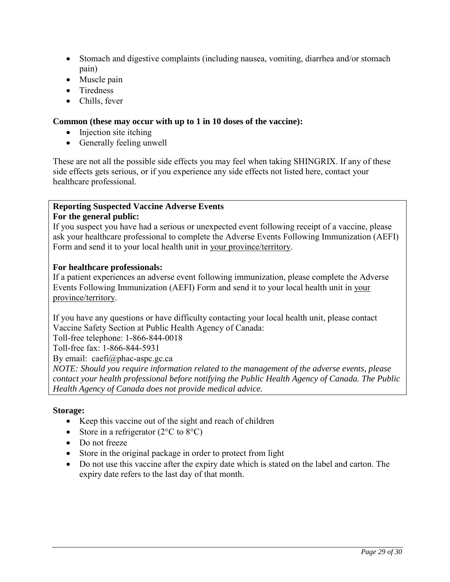- Stomach and digestive complaints (including nausea, vomiting, diarrhea and/or stomach pain)
- Muscle pain
- Tiredness
- Chills, fever

### **Common (these may occur with up to 1 in 10 doses of the vaccine):**

- Injection site itching
- Generally feeling unwell

These are not all the possible side effects you may feel when taking SHINGRIX. If any of these side effects gets serious, or if you experience any side effects not listed here, contact your healthcare professional.

#### **Reporting Suspected Vaccine Adverse Events For the general public:**

If you suspect you have had a serious or unexpected event following receipt of a vaccine, please ask your healthcare professional to complete the Adverse Events Following Immunization (AEFI) Form and send it to your local health unit in [your province/territory.](http://www.phac-aspc.gc.ca/im/ci-rp-eng.php)

### **For healthcare professionals:**

If a patient experiences an adverse event following immunization, please complete the Adverse Events Following Immunization (AEFI) Form and send it to your local health unit in [your](http://www.phac-aspc.gc.ca/im/ci-rp-eng.php)  [province/territory.](http://www.phac-aspc.gc.ca/im/ci-rp-eng.php)

If you have any questions or have difficulty contacting your local health unit, please contact Vaccine Safety Section at Public Health Agency of Canada:

Toll-free telephone: 1-866-844-0018

Toll-free fax: 1-866-844-5931

By email: caefi@phac-aspc.gc.ca

*NOTE: Should you require information related to the management of the adverse events, please contact your health professional before notifying the Public Health Agency of Canada. The Public Health Agency of Canada does not provide medical advice.*

### **Storage:**

- Keep this vaccine out of the sight and reach of children
- Store in a refrigerator  $(2^{\circ}C \text{ to } 8^{\circ}C)$
- Do not freeze
- Store in the original package in order to protect from light
- Do not use this vaccine after the expiry date which is stated on the label and carton. The expiry date refers to the last day of that month.